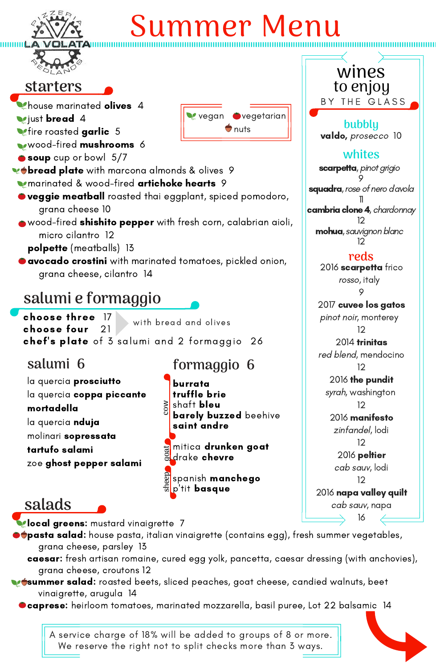#### **reds** 2016 scarpetta frico rosso, italy

9

### 2017 cuvee los gatos pinot noir, monterey

12

2014 trinitas red blend, mendocino 12

2016 the pundit syrah, washington

12

2016 manifesto zinfandel, lodi 12

2016 peltier cab sauv, lodi 12

2016 napa valley quilt cab sauv, napa

16

**local greens:** mustard vinaigrette 7

- **Phouse marinated olives** 4
- **V**just **bread** 4
- **Metire roasted garlic** 5
- wood-fired mushrooms 6
- soup cup or bowl 5/7
- **vot bread plate** with marcona almonds & olives 9
- **Marinated & wood-fired artichoke hearts** 9
- $\bullet$  veggie meatball roasted thai eggplant, spiced pomodoro, grana cheese 10
- wood-fired shishito pepper with fresh corn, calabrian aioli, micro cilantro 12
	- polpette (meatballs) 13
- $\bullet$  avocado crostini with marinated tomatoes, pickled onion, grana cheese, cilantro 14

mohua, sauvignon blanc 12

 $\blacklozenge$ pasta salad: house pasta, italian vinaigrette (contains egg), fresh summer vegetables, grana cheese, parsley 13

- caesar: fresh artisan romaine, cured egg yolk, pancetta, caesar dressing (with anchovies), grana cheese, croutons 12
- **verther salad:** roasted beets, sliced peaches, goat cheese, candied walnuts, beet vinaigrette, arugula 14
	- $\bullet$  caprese: heirloom tomatoes, marinated mozzarella, basil puree, Lot 22 balsamic 14

### **starters**



# Summer Menu



to enjoy

**bubbly**

la quercia prosciutto la quercia coppa piccante mortadella la quercia **nduja** 

11 cambria clone 4, chardonnay 12

**cow**I

**salads**

**whites** scarpetta, pinot grigio 9 **squadra**, rose of nero d'avola valdo, prosecco 10

### **salumi e formaggio**

burrata

truffle brie

saint andre

mitica drunken goat

spanish **manchego** 

choose three 17 choose four 21 chef' s plate of 3 salumi and 2 formaggio 26 with bread and olives

**formaggio 6**

shaft **bleu** 

molinari sopressata

tartufo salami

zoe ghost pepper salami

### **salumi 6**

drake chevre **g**

**barely buzzed** beehive



A service charge of 18% will be added to groups of 8 or more. We reserve the right not to split checks more than 3 ways.

**eep**

**o at**



wines

BY THE GLASS